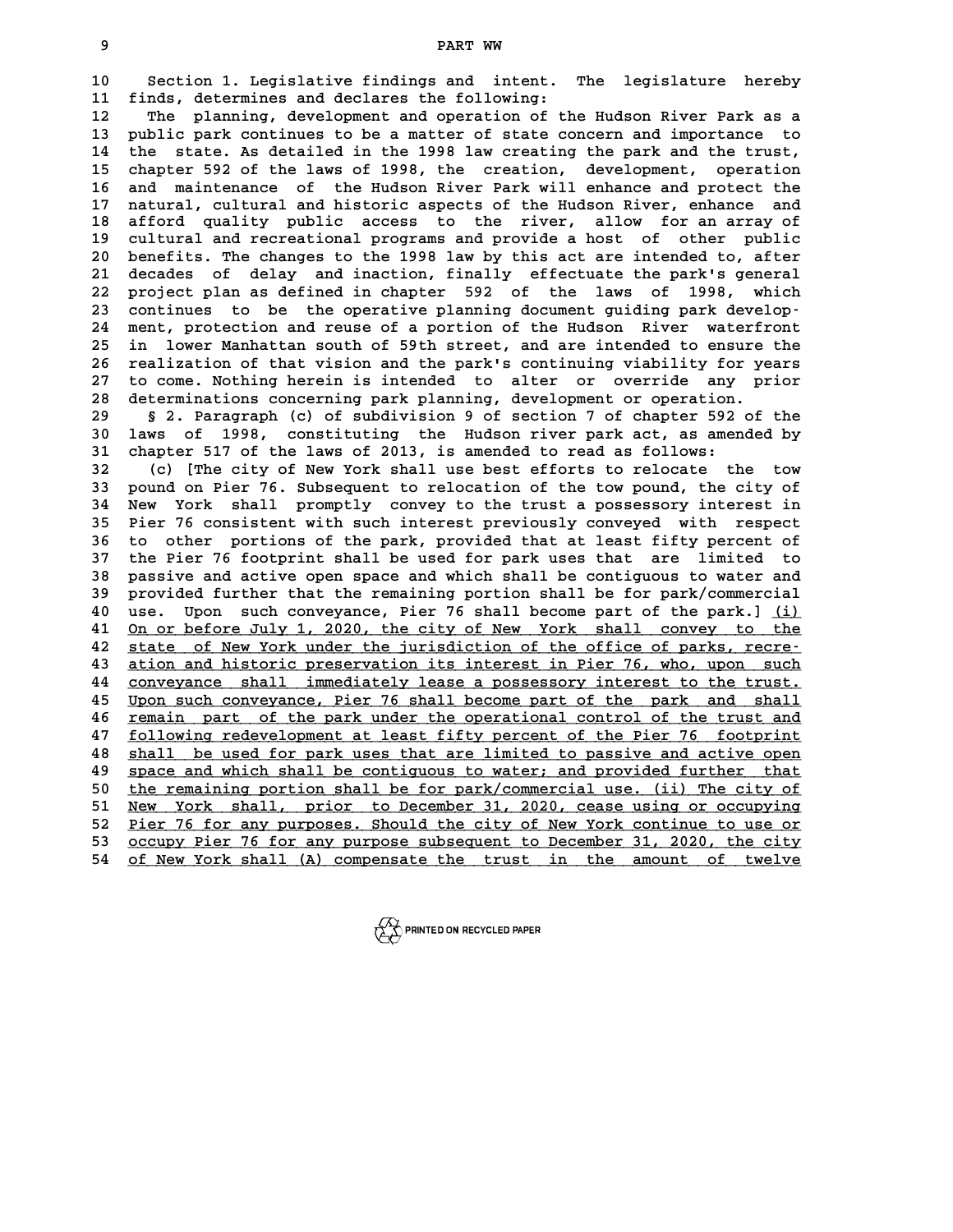**<sup>9</sup> PART WW**

PART WW<br>10 Section 1. Legislative findings and intent. The legislature hereby<br>11 finds determines and deglares the following. **11 finds, determines and declares the following: 10** Section 1. Legislative findings and intent. The legislature hereby<br> **11** finds, determines and declares the following:<br> **12** The planning, development and operation of the Hudson River Park as a<br> **13** Public park cont

11 finds, determines and declares the following:<br>12 The planning, development and operation of the Hudson River Park as a<br>13 public park continues to be a matter of state concern and importance to<br>14 the state. As detailed **14 the state. As detailed in the 1998 law creating the park and the trust, 15 chapter 592 of the laws of 1998, the creation, development, operation** the state. As detailed in the 1998 law creating the park and the trust,<br>15 chapter 592 of the laws of 1998, the creation, development, operation<br>16 and maintenance of the Hudson River Park will enhance and protect the<br>17 n chapter 592 of the laws of 1998, the creation, development, operation<br>16 and maintenance of the Hudson River Park will enhance and protect the<br>17 natural, cultural and historic aspects of the Hudson River, enhance and<br>18 a 16 and maintenance of the Hudson River Park will enhance and protect the<br>17 natural, cultural and historic aspects of the Hudson River, enhance and<br>18 afford quality public access to the river, allow for an array of<br>20 qui **19 matural, cultural and historic aspects of the Hudson River, enhance and afford quality public access to the river, allow for an array of cultural and recreational programs and provide a host of other public**<br>20 benefit 18 afford quality public access to the river, allow for an array of<br>19 cultural and recreational programs and provide a host of other public<br>20 benefits. The changes to the 1998 law by this act are intended to, after<br>21 de 21 cultural and recreational programs and provide a host of other public<br>20 benefits. The changes to the 1998 law by this act are intended to, after<br>21 decades of delay and inaction, finally effectuate the park's general<br>2 20 benefits. The changes to the 1998 law by this act are intended to, after 21 decades of delay and inaction, finally effectuate the park's general 22 project plan as defined in chapter 592 of the laws of 1998, which conti 21 decades of delay and inaction, finally effectuate the park's general<br>
22 project plan as defined in chapter 592 of the laws of 1998, which<br>
23 continues to be the operative planning document guiding park develop-<br>
24 mo 22 project plan as defined in chapter 592 of the laws of 1998, which<br>23 continues to be the operative planning document guiding park develop-<br>24 ment, protection and reuse of a portion of the Hudson River waterfront<br>25 in **25 in lower Manhattan south of 59th street, and are intended to ensure the** 24 ment, protection and reuse of a portion of the Hudson River waterfront<br>25 in lower Manhattan south of 59th street, and are intended to ensure the<br>26 realization of that vision and the park's continuing viability for yea 25 in lower Manhattan south of 59th street, and are intended to ensure the<br>26 realization of that vision and the park's continuing viability for years<br>27 to come. Nothing herein is intended to alter or override any prior<br>2 26 realization of that vision and the park's continuing viability for year to come. Nothing herein is intended to alter or override any price determinations concerning park planning, development or operation.

27 to come. Nothing herein is intended to alter or override any prior<br>28 determinations concerning park planning, development or operation.<br>29 § 2. Paragraph (c) of subdivision 9 of section 7 of chapter 592 of the<br>30 laws **38 determinations concerning park planning, development or operation.**<br> **30 S 2. Paragraph (c) of subdivision 9 of section 7 of chapter 592 of the<br>
30 laws of 1998, constituting the Hudson river park act, as amended by<br>
<sup>**</sup> **32 S 2. Paragraph (c) of subdivision 9 of section 7 of chapter 592 (2014)**<br>30 laws of 1998, constituting the Hudson river park act, as amended to read as follows:<br>32 (3) [The situ of Nov York shall use best of forts to re **120 1 aws of 1998, constituting the Hudson river park act, as amended by**<br> **31 chapter 517 of the laws of 2013, is amended to read as follows:**<br> **32** (c) [The city of New York shall use best efforts to relocate the tow<br>

31 chapter 517 of the laws of 2013, is amended to read as follows:<br>32 (c) [The city of New York shall use best efforts to relocate the tow<br>33 pound on Pier 76. Subsequent to relocation of the tow pound, the city of<br><sup>34</sup> Ne **32** (c) [The city of New York shall use best efforts to relocate the tow<br>33 pound on Pier 76. Subsequent to relocation of the tow pound, the city of<br>34 New York shall promptly convey to the trust a possessory interest in<br> 33 pound on Pier 76. Subsequent to relocation of the tow pound, the city of<br>34 New York shall promptly convey to the trust a possessory interest in<br>35 Pier 76 consistent with such interest previously conveyed with respect<br> New York shall promptly convey to the trust a possessory interest in<br>35 Pier 76 consistent with such interest previously conveyed with respect<br>36 to other portions of the park, provided that at least fifty percent of<br>37 th Pier 76 consistent with such interest previously conveyed with respect<br>36 to other portions of the park, provided that at least fifty percent of<br>37 the Pier 76 footprint shall be used for park uses that are limited to<br>28 p **36 to other portions of the park, provided that at least fifty percent of the Pier 76 footprint shall be used for park uses that are limited to passive and active open space and which shall be contiguous to water and prov** 37 the Pier 76 footprint shall be used for park uses that are limited to<br>38 passive and active open space and which shall be contiguous to water and<br>39 provided further that the remaining portion shall be for park/commerci 98 passive and active open space and which shall be contiguous to water and<br>
40 use. Upon such conveyance, Pier 76 shall become part of the park.] (i)<br>
41 Open before July 1, 2020, the gity of Novy York, shall convey to th Provided further that the remaining portion shall be for park/commercial<br>
40 use. Upon such conveyance, Pier 76 shall become part of the park.] <u>(i)</u><br>
41 <u>On or before July 1, 2020, the city of New York shall convey to the</u> at the state of New York under the park of the park.] (i)<br> **41** <u>On or before July 1, 2020, the city of New York shall convey to the state of New York under the jurisdiction of the office of parks, recre-<br> **42** stion and b</u> 41 <u>On or before July 1, 2020, the city of New York shall convey to the</u><br>42 <u>state of New York under the jurisdiction of the office of parks, recre-</u><br>43 <u>ation and historic preservation its interest in Pier 76, who, upon s</u> 42 state of New York under the jurisdiction of the office of parks, recre-<br>43 ation and historic preservation its interest in Pier 76, who, upon such<br><u>conveyance shall immediately lease a possessory interest to the trust.</u> 43 ation and historic preservation its interest in Pier 76, who, upon such<br>44 conveyance shall immediately lease a possessory interest to the trust.<br>45 Upon such conveyance, Pier 76 shall become part of the park and shall<br> 44 <u>conveyance shall immediately lease a possessory interest to the trust.</u><br>45 Upon such conveyance, Pier 76 shall become part of the park and shall<br>46 <u>remain part of the park under the operational control of the trust an</u> **45** Upon such conveyance, Pier 76 shall become part of the park and shall<br>46 <u>remain part of the park under the operational control of the trust and<br>47 following redevelopment at least fifty percent of the Pier 76 footpri</u> **46** <u>remain part of the park under the operational control of the trust and following redevelopment at least fifty percent of the Pier 76 footprint shall be used for park uses that are limited to passive and active open s</u> following redevelopment at least fifty percent of the Pier 76 footprint<br>48 shall be used for park uses that are limited to passive and active open<br><u>space and which shall be contiguous to water; and provided further that</u><br>t \$10 **Shall** be used for park uses that are limited to passive and active open<br>49 space and which shall be contiguous to water; and provided further that<br>50 <u>the remaining portion shall be for park/commercial use. (ii) The </u> \$19 space and which shall be contiguous to water; and provided further that<br>
50 the remaining portion shall be for park/commercial use. (ii) The city of<br>
<u>New York shall, prior to December 31, 2020, cease using or occupyin</u> 50 the remaining portion shall be for park/commercial use. (ii) The city of<br>51 <u>New York shall, prior to December 31, 2020</u>, cease using or occupying<br>52 <u>Pier 76 for any purposes. Should the city of New York continue to us</u> **51 New York shall, prior to December 31, 2020, cease using or occupying**<br> **52 Pier 76 for any purposes. Should the city of New York continue to use or**<br> **53 <u>occupy Pier 76 for any purpose subsequent to December 31, 2020,**</u> Famely 11 of New York shall the city of New York continue to use or occupy Pier 76 for any purpose subsequent to December 31, 2020, the city of New York shall (A) compensate the trust in the amount of twelve